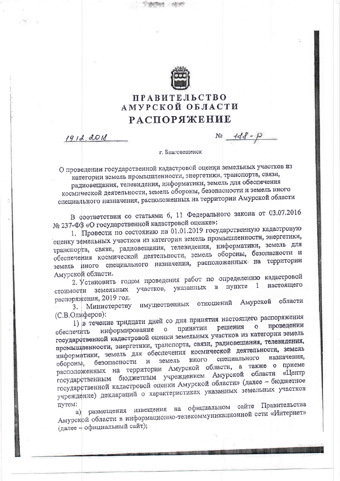

## **ПРАВИТЕЛЬСТВО** АМУРСКОЙ ОБЛАСТИ **РАСПОРЯЖЕНИЕ**

 $1912.0018$ 

 $N_2$   $148 - 10$ 

г. Благовещенск

О проведении государственной кадастровой оценки земельных участков из категории земель промышленности, энергетики, транспорта, связи, радиовещания, телевидения, информатики, земель для обеспечения космической деятельности, земель обороны, безопасности и земель иного специального назначения, расположенных на территории Амурской области

В соответствии со статьями 6, 11 Федерального закона от 03.07.2016 № 237-ФЗ «О государственной кадастровой оценке»:

1. Провести по состоянию на 01.01.2019 государственную кадастровую оценку земельных участков из категории земель промышленности, энергетики, транспорта, связи, радиовещания, телевидения, информатики, земель для обеспечения космической деятельности, земель обороны, безопасности и земель иного специального назначения, расположенных на территории Амурской области.

2. Установить годом проведения работ по определению кадастровой стоимости земельных участков, указанных в пункте 1 настоящего распоряжения, 2019 год.

3. Министерству имущественных отношений Амурской области (С.В.Олиферов):

1) в течение тридцати дней со дня принятия настоящего распоряжения информирование о принятии решения о проведении обеспечить государственной кадастровой оценки земельных участков из категории земель промышленности, энергетики, транспорта, связи, радиовещания, телевидения, информатики, земель для обеспечения космической деятельности, земель специального иного земель безопасности  $\, {\bf M} \,$ расположенных на территории Амурской области, а также о приеме обороны, государственным бюджетным учреждением Амурской области «Центр государственной кадастровой оценки Амурской области» (далее - бюджетное учреждение) деклараций о характеристиках указанных земельных участков nyrem:

а) размещения извещения на официальном сайте Правительства Амурской области в информационно-телекоммуникационной сети «Интернет» (далее - официальный сайт);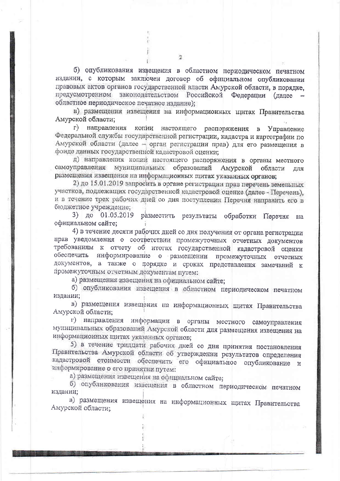б) опубликования извещения в областном периодическом печатном издании, с которым заключен договор об официальном опубликовании правовых актов органов государственной власти Амурской области, в порядке, предусмотренном законодательством Российской Федерации (далее областное периодическое печатное издание);

в) размещения извещения на информационных цитах Правительства Амурской области;

г) направления копии настоящего распоряжения в Управление Федеральной службы государственной регистрации, кадастра и картографии по Амурской области (далее - орган регистрации прав) для его размещения в фонде данных государственной кадастровой оценки;

д) направления конии настоящего распоряжения в органы местного самоуправления муниципальных образований Амурской области лля размещения извещения на информационных щитах указанных органов;

2) до 15.01.2019 запросить в органе регистрации прав перечень земельных участков, подлежащих государственной кадастровой оценке (далее - Перечень), и в течение трех рабочих дней со дня поступления Перечня направить его в бюджетное учреждение;

3) до 01.05.2019 разместить результаты обработки Перечня на официальном сайте:

4) в течение десяти рабочих дней со дня получения от органа регистрации прав уведомления о соответствии промежуточных отчетных документов требованиям к отчету об итогах государственной кадастровой оценки обеспечить информирование о размещении промежуточных отчетных документов, а также о порядке и сроках представления замечаний к промежуточным отчетным документам путем:

а) размещения извещения на официальном сайте;

б) опубликования извещения в областном периодическом печатном издании;

в) размещения извещения на информационных щитах Правительства Амурской области:

г) направления информации в органы местного самоуправления муниципальных образований Амурской области для размещения извещения на информационных щитах указанных органов;

5) в течение тридцати рабочих дней со дня принятия постановления Правительства Амурской области об утверждении результатов определения кадаєтровой стоимости обеспечить его официальное опубликование и информирование о его принятии путем:

а) размещения извещения на официальном сайте;

б) опубликования извещения в областном периодическом печатном издании;

в) размещения извещения на информационных щитах Правительства Амурской области;